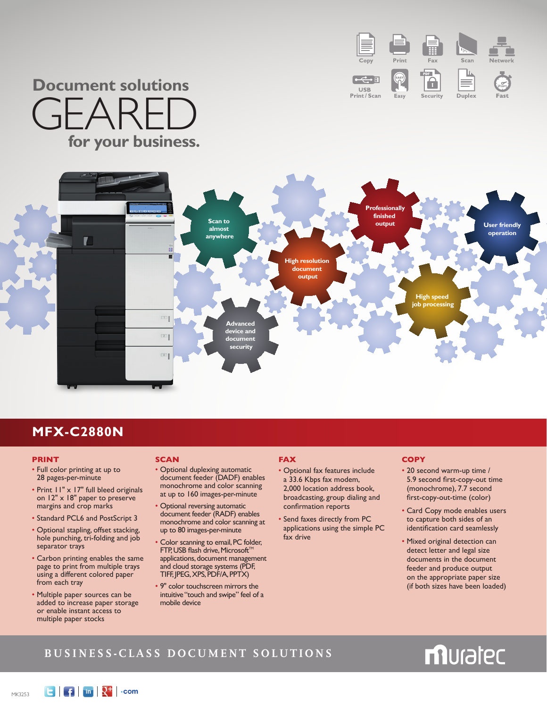

## **Document solutions** GEARE **for your business.**



## **MFX-C2880N**

#### **PRINT**

- Full color printing at up to 28 pages-per-minute
- Print 11" x 17" full bleed originals on 12" x 18" paper to preserve margins and crop marks
- Standard PCL6 and PostScript 3
- Optional stapling, offset stacking, hole punching, tri-folding and job separator trays
- Carbon printing enables the same page to print from multiple trays using a different colored paper from each tray
- Multiple paper sources can be added to increase paper storage or enable instant access to multiple paper stocks

#### **SCAN**

- Optional duplexing automatic document feeder (DADF) enables monochrome and color scanning at up to 160 images-per-minute
- Optional reversing automatic document feeder (RADF) enables monochrome and color scanning at up to 80 images-per-minute
- Color scanning to email, PC folder, FTP, USB flash drive, Microsoft<sup>Tt</sup> applications, document management and cloud storage systems (PDF, TIFF, JPEG, XPS, PDF/A, PPTX)
- 9" color touchscreen mirrors the intuitive "touch and swipe" feel of a mobile device

#### **FAX**

- Optional fax features include a 33.6 Kbps fax modem, 2,000 location address book, broadcasting, group dialing and confirmation reports
- Send faxes directly from PC applications using the simple PC fax drive

#### **COPY**

- 20 second warm-up time / 5.9 second first-copy-out time (monochrome), 7.7 second first-copy-out-time (color)
- Card Copy mode enables users to capture both sides of an identification card seamlessly
- Mixed original detection can detect letter and legal size documents in the document feeder and produce output on the appropriate paper size (if both sizes have been loaded)

### **Business-Class Do cument S olutions**

# muratec